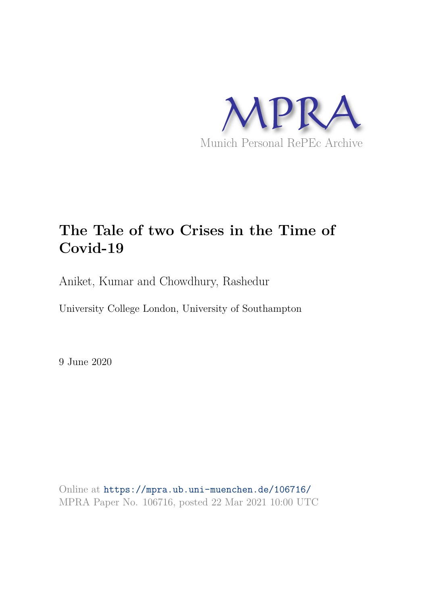

# **The Tale of two Crises in the Time of Covid-19**

Aniket, Kumar and Chowdhury, Rashedur

University College London, University of Southampton

9 June 2020

Online at https://mpra.ub.uni-muenchen.de/106716/ MPRA Paper No. 106716, posted 22 Mar 2021 10:00 UTC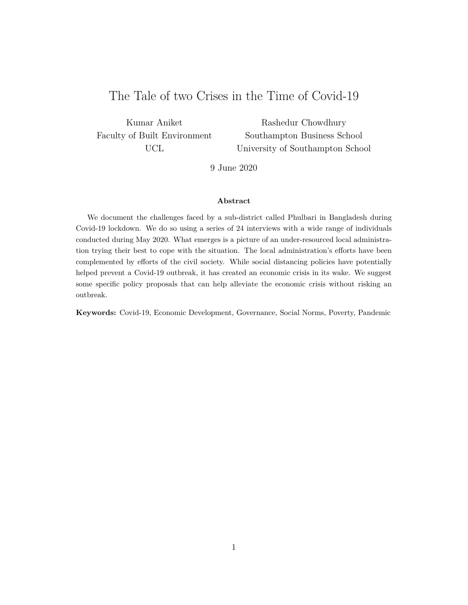## The Tale of two Crises in the Time of Covid-19

Kumar Aniket Faculty of Built Environment UCL

Rashedur Chowdhury Southampton Business School University of Southampton School

9 June 2020

#### **Abstract**

We document the challenges faced by a sub-district called Phulbari in Bangladesh during Covid-19 lockdown. We do so using a series of 24 interviews with a wide range of individuals conducted during May 2020. What emerges is a picture of an under-resourced local administration trying their best to cope with the situation. The local administration's efforts have been complemented by efforts of the civil society. While social distancing policies have potentially helped prevent a Covid-19 outbreak, it has created an economic crisis in its wake. We suggest some specific policy proposals that can help alleviate the economic crisis without risking an outbreak.

**Keywords:** Covid-19, Economic Development, Governance, Social Norms, Poverty, Pandemic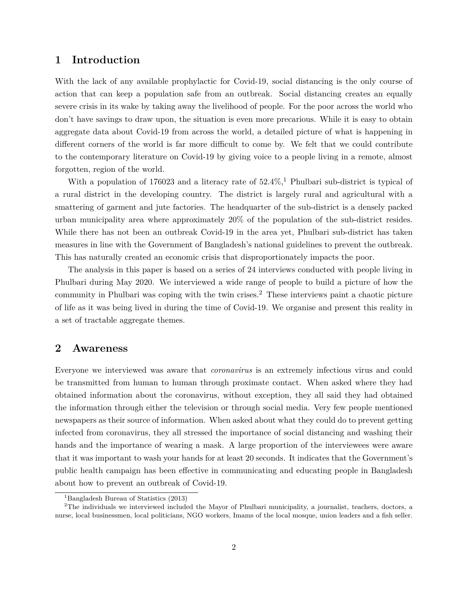## **1 Introduction**

With the lack of any available prophylactic for Covid-19, social distancing is the only course of action that can keep a population safe from an outbreak. Social distancing creates an equally severe crisis in its wake by taking away the livelihood of people. For the poor across the world who don't have savings to draw upon, the situation is even more precarious. While it is easy to obtain aggregate data about Covid-19 from across the world, a detailed picture of what is happening in different corners of the world is far more difficult to come by. We felt that we could contribute to the contemporary literature on Covid-19 by giving voice to a people living in a remote, almost forgotten, region of the world.

With a population of 176023 and a literacy rate of  $52.4\%$ , Phulbari sub-district is typical of a rural district in the developing country. The district is largely rural and agricultural with a smattering of garment and jute factories. The headquarter of the sub-district is a densely packed urban municipality area where approximately 20% of the population of the sub-district resides. While there has not been an outbreak Covid-19 in the area yet, Phulbari sub-district has taken measures in line with the Government of Bangladesh's national guidelines to prevent the outbreak. This has naturally created an economic crisis that disproportionately impacts the poor.

The analysis in this paper is based on a series of 24 interviews conducted with people living in Phulbari during May 2020. We interviewed a wide range of people to build a picture of how the community in Phulbari was coping with the twin crises.<sup>2</sup> These interviews paint a chaotic picture of life as it was being lived in during the time of Covid-19. We organise and present this reality in a set of tractable aggregate themes.

## **2 Awareness**

Everyone we interviewed was aware that *coronavirus* is an extremely infectious virus and could be transmitted from human to human through proximate contact. When asked where they had obtained information about the coronavirus, without exception, they all said they had obtained the information through either the television or through social media. Very few people mentioned newspapers as their source of information. When asked about what they could do to prevent getting infected from coronavirus, they all stressed the importance of social distancing and washing their hands and the importance of wearing a mask. A large proportion of the interviewees were aware that it was important to wash your hands for at least 20 seconds. It indicates that the Government's public health campaign has been effective in communicating and educating people in Bangladesh about how to prevent an outbreak of Covid-19.

<sup>&</sup>lt;sup>1</sup>Bangladesh Bureau of Statistics (2013)

<sup>2</sup>The individuals we interviewed included the Mayor of Phulbari municipality, a journalist, teachers, doctors, a nurse, local businessmen, local politicians, NGO workers, Imams of the local mosque, union leaders and a fish seller.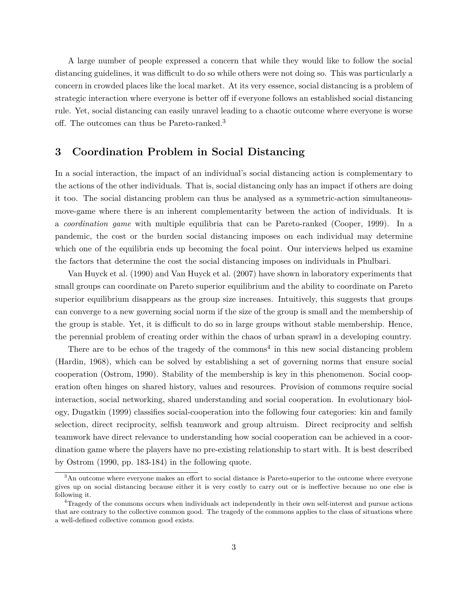A large number of people expressed a concern that while they would like to follow the social distancing guidelines, it was difficult to do so while others were not doing so. This was particularly a concern in crowded places like the local market. At its very essence, social distancing is a problem of strategic interaction where everyone is better off if everyone follows an established social distancing rule. Yet, social distancing can easily unravel leading to a chaotic outcome where everyone is worse off. The outcomes can thus be Pareto-ranked.<sup>3</sup>

## **3 Coordination Problem in Social Distancing**

In a social interaction, the impact of an individual's social distancing action is complementary to the actions of the other individuals. That is, social distancing only has an impact if others are doing it too. The social distancing problem can thus be analysed as a symmetric-action simultaneousmove-game where there is an inherent complementarity between the action of individuals. It is a *coordination game* with multiple equilibria that can be Pareto-ranked (Cooper, 1999). In a pandemic, the cost or the burden social distancing imposes on each individual may determine which one of the equilibria ends up becoming the focal point. Our interviews helped us examine the factors that determine the cost the social distancing imposes on individuals in Phulbari.

Van Huyck et al. (1990) and Van Huyck et al. (2007) have shown in laboratory experiments that small groups can coordinate on Pareto superior equilibrium and the ability to coordinate on Pareto superior equilibrium disappears as the group size increases. Intuitively, this suggests that groups can converge to a new governing social norm if the size of the group is small and the membership of the group is stable. Yet, it is difficult to do so in large groups without stable membership. Hence, the perennial problem of creating order within the chaos of urban sprawl in a developing country.

There are to be echos of the tragedy of the commons<sup>4</sup> in this new social distancing problem (Hardin, 1968), which can be solved by establishing a set of governing norms that ensure social cooperation (Ostrom, 1990). Stability of the membership is key in this phenomenon. Social cooperation often hinges on shared history, values and resources. Provision of commons require social interaction, social networking, shared understanding and social cooperation. In evolutionary biology, Dugatkin (1999) classifies social-cooperation into the following four categories: kin and family selection, direct reciprocity, selfish teamwork and group altruism. Direct reciprocity and selfish teamwork have direct relevance to understanding how social cooperation can be achieved in a coordination game where the players have no pre-existing relationship to start with. It is best described by Ostrom (1990, pp. 183-184) in the following quote.

<sup>&</sup>lt;sup>3</sup>An outcome where everyone makes an effort to social distance is Pareto-superior to the outcome where everyone gives up on social distancing because either it is very costly to carry out or is ineffective because no one else is following it.

<sup>4</sup>Tragedy of the commons occurs when individuals act independently in their own self-interest and pursue actions that are contrary to the collective common good. The tragedy of the commons applies to the class of situations where a well-defined collective common good exists.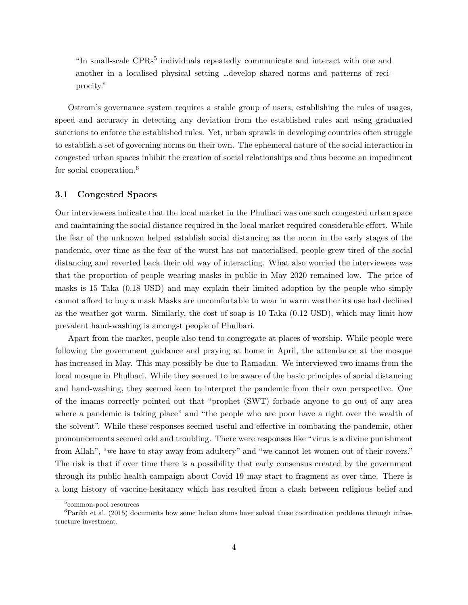"In small-scale CPRs<sup>5</sup> individuals repeatedly communicate and interact with one and another in a localised physical setting …develop shared norms and patterns of reciprocity."

Ostrom's governance system requires a stable group of users, establishing the rules of usages, speed and accuracy in detecting any deviation from the established rules and using graduated sanctions to enforce the established rules. Yet, urban sprawls in developing countries often struggle to establish a set of governing norms on their own. The ephemeral nature of the social interaction in congested urban spaces inhibit the creation of social relationships and thus become an impediment for social cooperation.<sup>6</sup>

#### **3.1 Congested Spaces**

Our interviewees indicate that the local market in the Phulbari was one such congested urban space and maintaining the social distance required in the local market required considerable effort. While the fear of the unknown helped establish social distancing as the norm in the early stages of the pandemic, over time as the fear of the worst has not materialised, people grew tired of the social distancing and reverted back their old way of interacting. What also worried the interviewees was that the proportion of people wearing masks in public in May 2020 remained low. The price of masks is 15 Taka (0.18 USD) and may explain their limited adoption by the people who simply cannot afford to buy a mask Masks are uncomfortable to wear in warm weather its use had declined as the weather got warm. Similarly, the cost of soap is 10 Taka (0.12 USD), which may limit how prevalent hand-washing is amongst people of Phulbari.

Apart from the market, people also tend to congregate at places of worship. While people were following the government guidance and praying at home in April, the attendance at the mosque has increased in May. This may possibly be due to Ramadan. We interviewed two imams from the local mosque in Phulbari. While they seemed to be aware of the basic principles of social distancing and hand-washing, they seemed keen to interpret the pandemic from their own perspective. One of the imams correctly pointed out that "prophet (SWT) forbade anyone to go out of any area where a pandemic is taking place" and "the people who are poor have a right over the wealth of the solvent". While these responses seemed useful and effective in combating the pandemic, other pronouncements seemed odd and troubling. There were responses like "virus is a divine punishment from Allah", "we have to stay away from adultery" and "we cannot let women out of their covers." The risk is that if over time there is a possibility that early consensus created by the government through its public health campaign about Covid-19 may start to fragment as over time. There is a long history of vaccine-hesitancy which has resulted from a clash between religious belief and

<sup>5</sup> common-pool resources

 ${}^{6}$ Parikh et al. (2015) documents how some Indian slums have solved these coordination problems through infrastructure investment.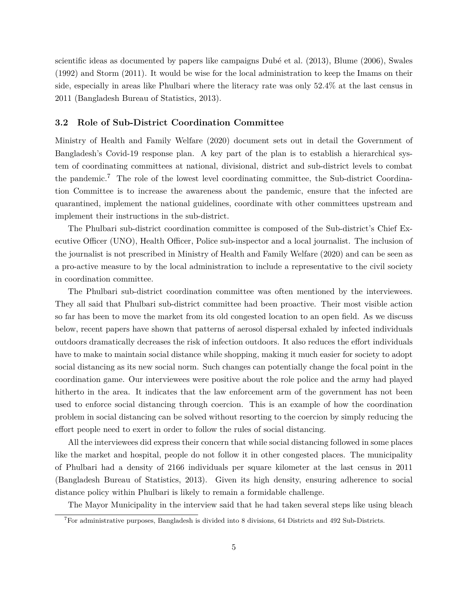scientific ideas as documented by papers like campaigns Dubé et al. (2013), Blume (2006), Swales (1992) and Storm (2011). It would be wise for the local administration to keep the Imams on their side, especially in areas like Phulbari where the literacy rate was only 52.4% at the last census in 2011 (Bangladesh Bureau of Statistics, 2013).

#### **3.2 Role of Sub-District Coordination Committee**

Ministry of Health and Family Welfare (2020) document sets out in detail the Government of Bangladesh's Covid-19 response plan. A key part of the plan is to establish a hierarchical system of coordinating committees at national, divisional, district and sub-district levels to combat the pandemic.<sup>7</sup> The role of the lowest level coordinating committee, the Sub-district Coordination Committee is to increase the awareness about the pandemic, ensure that the infected are quarantined, implement the national guidelines, coordinate with other committees upstream and implement their instructions in the sub-district.

The Phulbari sub-district coordination committee is composed of the Sub-district's Chief Executive Officer (UNO), Health Officer, Police sub-inspector and a local journalist. The inclusion of the journalist is not prescribed in Ministry of Health and Family Welfare (2020) and can be seen as a pro-active measure to by the local administration to include a representative to the civil society in coordination committee.

The Phulbari sub-district coordination committee was often mentioned by the interviewees. They all said that Phulbari sub-district committee had been proactive. Their most visible action so far has been to move the market from its old congested location to an open field. As we discuss below, recent papers have shown that patterns of aerosol dispersal exhaled by infected individuals outdoors dramatically decreases the risk of infection outdoors. It also reduces the effort individuals have to make to maintain social distance while shopping, making it much easier for society to adopt social distancing as its new social norm. Such changes can potentially change the focal point in the coordination game. Our interviewees were positive about the role police and the army had played hitherto in the area. It indicates that the law enforcement arm of the government has not been used to enforce social distancing through coercion. This is an example of how the coordination problem in social distancing can be solved without resorting to the coercion by simply reducing the effort people need to exert in order to follow the rules of social distancing.

All the interviewees did express their concern that while social distancing followed in some places like the market and hospital, people do not follow it in other congested places. The municipality of Phulbari had a density of 2166 individuals per square kilometer at the last census in 2011 (Bangladesh Bureau of Statistics, 2013). Given its high density, ensuring adherence to social distance policy within Phulbari is likely to remain a formidable challenge.

The Mayor Municipality in the interview said that he had taken several steps like using bleach

<sup>7</sup>For administrative purposes, Bangladesh is divided into 8 divisions, 64 Districts and 492 Sub-Districts.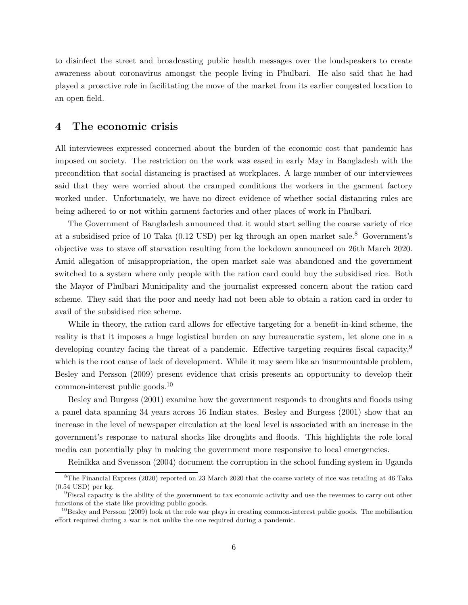to disinfect the street and broadcasting public health messages over the loudspeakers to create awareness about coronavirus amongst the people living in Phulbari. He also said that he had played a proactive role in facilitating the move of the market from its earlier congested location to an open field.

### **4 The economic crisis**

All interviewees expressed concerned about the burden of the economic cost that pandemic has imposed on society. The restriction on the work was eased in early May in Bangladesh with the precondition that social distancing is practised at workplaces. A large number of our interviewees said that they were worried about the cramped conditions the workers in the garment factory worked under. Unfortunately, we have no direct evidence of whether social distancing rules are being adhered to or not within garment factories and other places of work in Phulbari.

The Government of Bangladesh announced that it would start selling the coarse variety of rice at a subsidised price of 10 Taka (0.12 USD) per kg through an open market sale.<sup>8</sup> Government's objective was to stave off starvation resulting from the lockdown announced on 26th March 2020. Amid allegation of misappropriation, the open market sale was abandoned and the government switched to a system where only people with the ration card could buy the subsidised rice. Both the Mayor of Phulbari Municipality and the journalist expressed concern about the ration card scheme. They said that the poor and needy had not been able to obtain a ration card in order to avail of the subsidised rice scheme.

While in theory, the ration card allows for effective targeting for a benefit-in-kind scheme, the reality is that it imposes a huge logistical burden on any bureaucratic system, let alone one in a developing country facing the threat of a pandemic. Effective targeting requires fiscal capacity,<sup>9</sup> which is the root cause of lack of development. While it may seem like an insurmountable problem, Besley and Persson (2009) present evidence that crisis presents an opportunity to develop their common-interest public goods.<sup>10</sup>

Besley and Burgess (2001) examine how the government responds to droughts and floods using a panel data spanning 34 years across 16 Indian states. Besley and Burgess (2001) show that an increase in the level of newspaper circulation at the local level is associated with an increase in the government's response to natural shocks like droughts and floods. This highlights the role local media can potentially play in making the government more responsive to local emergencies.

Reinikka and Svensson (2004) document the corruption in the school funding system in Uganda

<sup>8</sup>The Financial Express (2020) reported on 23 March 2020 that the coarse variety of rice was retailing at 46 Taka (0.54 USD) per kg.

<sup>9</sup>Fiscal capacity is the ability of the government to tax economic activity and use the revenues to carry out other functions of the state like providing public goods.

 $10$ Besley and Persson (2009) look at the role war plays in creating common-interest public goods. The mobilisation effort required during a war is not unlike the one required during a pandemic.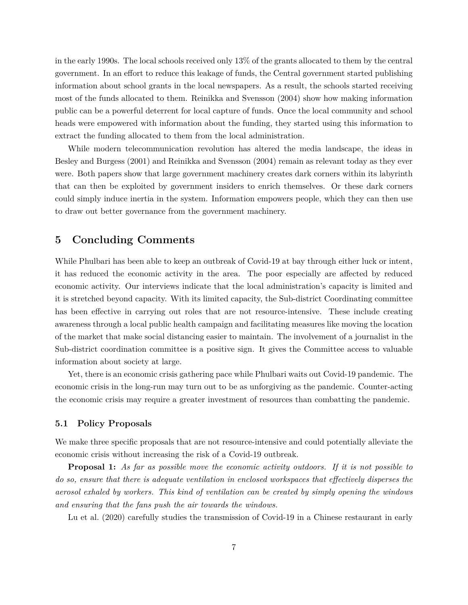in the early 1990s. The local schools received only 13% of the grants allocated to them by the central government. In an effort to reduce this leakage of funds, the Central government started publishing information about school grants in the local newspapers. As a result, the schools started receiving most of the funds allocated to them. Reinikka and Svensson (2004) show how making information public can be a powerful deterrent for local capture of funds. Once the local community and school heads were empowered with information about the funding, they started using this information to extract the funding allocated to them from the local administration.

While modern telecommunication revolution has altered the media landscape, the ideas in Besley and Burgess (2001) and Reinikka and Svensson (2004) remain as relevant today as they ever were. Both papers show that large government machinery creates dark corners within its labyrinth that can then be exploited by government insiders to enrich themselves. Or these dark corners could simply induce inertia in the system. Information empowers people, which they can then use to draw out better governance from the government machinery.

## **5 Concluding Comments**

While Phulbari has been able to keep an outbreak of Covid-19 at bay through either luck or intent, it has reduced the economic activity in the area. The poor especially are affected by reduced economic activity. Our interviews indicate that the local administration's capacity is limited and it is stretched beyond capacity. With its limited capacity, the Sub-district Coordinating committee has been effective in carrying out roles that are not resource-intensive. These include creating awareness through a local public health campaign and facilitating measures like moving the location of the market that make social distancing easier to maintain. The involvement of a journalist in the Sub-district coordination committee is a positive sign. It gives the Committee access to valuable information about society at large.

Yet, there is an economic crisis gathering pace while Phulbari waits out Covid-19 pandemic. The economic crisis in the long-run may turn out to be as unforgiving as the pandemic. Counter-acting the economic crisis may require a greater investment of resources than combatting the pandemic.

#### **5.1 Policy Proposals**

We make three specific proposals that are not resource-intensive and could potentially alleviate the economic crisis without increasing the risk of a Covid-19 outbreak.

**Proposal 1:** *As far as possible move the economic activity outdoors. If it is not possible to do so, ensure that there is adequate ventilation in enclosed workspaces that effectively disperses the aerosol exhaled by workers. This kind of ventilation can be created by simply opening the windows and ensuring that the fans push the air towards the windows.*

Lu et al. (2020) carefully studies the transmission of Covid-19 in a Chinese restaurant in early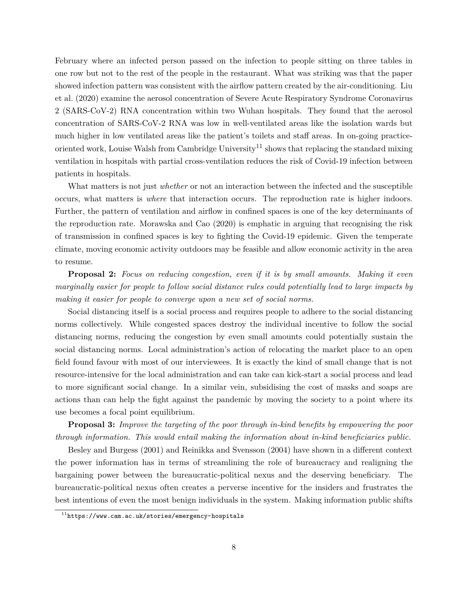February where an infected person passed on the infection to people sitting on three tables in one row but not to the rest of the people in the restaurant. What was striking was that the paper showed infection pattern was consistent with the airflow pattern created by the air-conditioning. Liu et al. (2020) examine the aerosol concentration of Severe Acute Respiratory Syndrome Coronavirus 2 (SARS-CoV-2) RNA concentration within two Wuhan hospitals. They found that the aerosol concentration of SARS-CoV-2 RNA was low in well-ventilated areas like the isolation wards but much higher in low ventilated areas like the patient's toilets and staff areas. In on-going practiceoriented work, Louise Walsh from Cambridge University<sup>11</sup> shows that replacing the standard mixing ventilation in hospitals with partial cross-ventilation reduces the risk of Covid-19 infection between patients in hospitals.

What matters is not just *whether* or not an interaction between the infected and the susceptible occurs, what matters is *where* that interaction occurs. The reproduction rate is higher indoors. Further, the pattern of ventilation and airflow in confined spaces is one of the key determinants of the reproduction rate. Morawska and Cao (2020) is emphatic in arguing that recognising the risk of transmission in confined spaces is key to fighting the Covid-19 epidemic. Given the temperate climate, moving economic activity outdoors may be feasible and allow economic activity in the area to resume.

**Proposal 2:** *Focus on reducing congestion, even if it is by small amounts. Making it even marginally easier for people to follow social distance rules could potentially lead to large impacts by making it easier for people to converge upon a new set of social norms.*

Social distancing itself is a social process and requires people to adhere to the social distancing norms collectively. While congested spaces destroy the individual incentive to follow the social distancing norms, reducing the congestion by even small amounts could potentially sustain the social distancing norms. Local administration's action of relocating the market place to an open field found favour with most of our interviewees. It is exactly the kind of small change that is not resource-intensive for the local administration and can take can kick-start a social process and lead to more significant social change. In a similar vein, subsidising the cost of masks and soaps are actions than can help the fight against the pandemic by moving the society to a point where its use becomes a focal point equilibrium.

**Proposal 3:** *Improve the targeting of the poor through in-kind benefits by empowering the poor through information. This would entail making the information about in-kind beneficiaries public.*

Besley and Burgess (2001) and Reinikka and Svensson (2004) have shown in a different context the power information has in terms of streamlining the role of bureaucracy and realigning the bargaining power between the bureaucratic-political nexus and the deserving beneficiary. The bureaucratic-political nexus often creates a perverse incentive for the insiders and frustrates the best intentions of even the most benign individuals in the system. Making information public shifts

 $11$ https://www.cam.ac.uk/stories/emergency-hospitals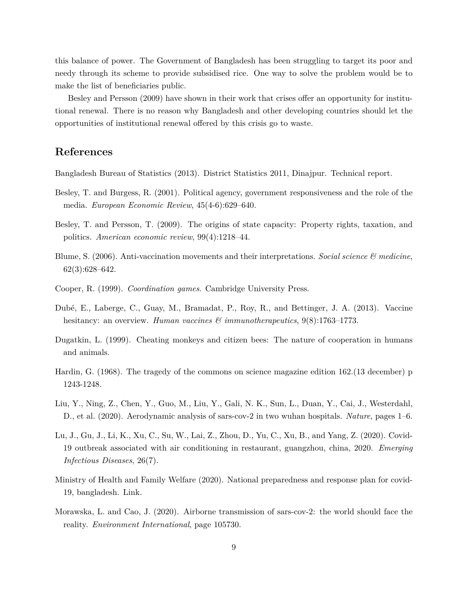this balance of power. The Government of Bangladesh has been struggling to target its poor and needy through its scheme to provide subsidised rice. One way to solve the problem would be to make the list of beneficiaries public.

Besley and Persson (2009) have shown in their work that crises offer an opportunity for institutional renewal. There is no reason why Bangladesh and other developing countries should let the opportunities of institutional renewal offered by this crisis go to waste.

## **References**

Bangladesh Bureau of Statistics (2013). District Statistics 2011, Dinajpur. Technical report.

- Besley, T. and Burgess, R. (2001). Political agency, government responsiveness and the role of the media. *European Economic Review*, 45(4-6):629–640.
- Besley, T. and Persson, T. (2009). The origins of state capacity: Property rights, taxation, and politics. *American economic review*, 99(4):1218–44.
- Blume, S. (2006). Anti-vaccination movements and their interpretations. *Social science & medicine*, 62(3):628–642.
- Cooper, R. (1999). *Coordination games*. Cambridge University Press.
- Dubé, E., Laberge, C., Guay, M., Bramadat, P., Roy, R., and Bettinger, J. A. (2013). Vaccine hesitancy: an overview. *Human vaccines & immunotherapeutics*, 9(8):1763–1773.
- Dugatkin, L. (1999). Cheating monkeys and citizen bees: The nature of cooperation in humans and animals.
- Hardin, G. (1968). The tragedy of the commons on science magazine edition 162.(13 december) p 1243-1248.
- Liu, Y., Ning, Z., Chen, Y., Guo, M., Liu, Y., Gali, N. K., Sun, L., Duan, Y., Cai, J., Westerdahl, D., et al. (2020). Aerodynamic analysis of sars-cov-2 in two wuhan hospitals. *Nature*, pages 1–6.
- Lu, J., Gu, J., Li, K., Xu, C., Su, W., Lai, Z., Zhou, D., Yu, C., Xu, B., and Yang, Z. (2020). Covid-19 outbreak associated with air conditioning in restaurant, guangzhou, china, 2020. *Emerging Infectious Diseases*, 26(7).
- Ministry of Health and Family Welfare (2020). National preparedness and response plan for covid-19, bangladesh. Link.
- Morawska, L. and Cao, J. (2020). Airborne transmission of sars-cov-2: the world should face the reality. *Environment International*, page 105730.